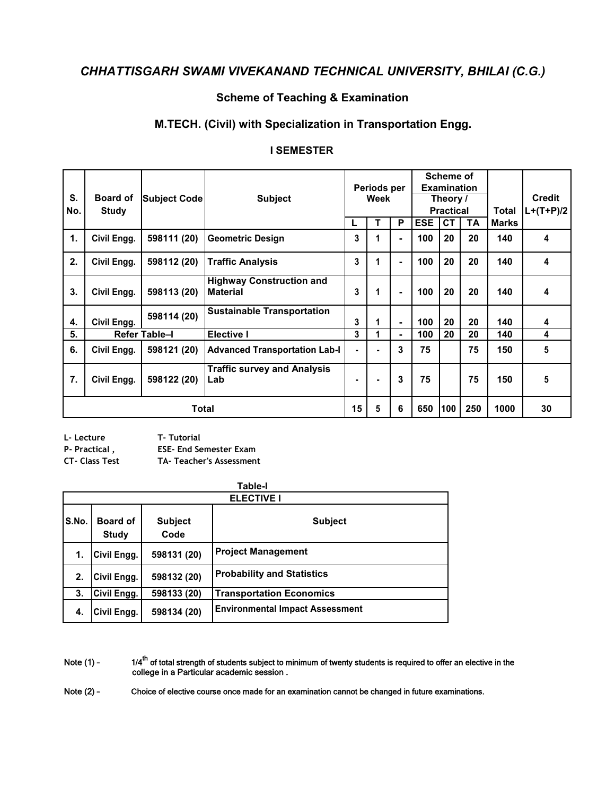## **Scheme of Teaching & Examination**

### M.TECH. (Civil) with Specialization in Transportation Engg.

#### **I SEMESTER**

| S.<br>No. | <b>Board of</b><br><b>Study</b> | Subject Code  | <b>Subject</b>                                     |    | Periods per<br>Week |                |            | <b>Scheme of</b><br><b>Examination</b><br>Theory /<br><b>Practical</b> |     | Total        | <b>Credit</b><br>$L+(T+P)/2$ |
|-----------|---------------------------------|---------------|----------------------------------------------------|----|---------------------|----------------|------------|------------------------------------------------------------------------|-----|--------------|------------------------------|
|           |                                 |               |                                                    | L  | т                   | P              | <b>ESE</b> | <b>CT</b>                                                              | TA  | <b>Marks</b> |                              |
| 1.        | Civil Engg.                     | 598111 (20)   | <b>Geometric Design</b>                            | 3  |                     | $\blacksquare$ | 100        | 20                                                                     | 20  | 140          | 4                            |
| 2.        | Civil Engg.                     | 598112 (20)   | <b>Traffic Analysis</b>                            | 3  | 1                   | $\blacksquare$ | 100        | 20                                                                     | 20  | 140          | 4                            |
| 3.        | Civil Engg.                     | 598113 (20)   | <b>Highway Construction and</b><br><b>Material</b> | 3  | 1                   | $\blacksquare$ | 100        | 20                                                                     | 20  | 140          | 4                            |
| 4.        | Civil Engg.                     | 598114 (20)   | <b>Sustainable Transportation</b>                  | 3  |                     | ٠              | 100        | 20                                                                     | 20  | 140          | 4                            |
| 5.        |                                 | Refer Table-I | <b>Elective I</b>                                  | 3  |                     | $\blacksquare$ | 100        | 20                                                                     | 20  | 140          | 4                            |
| 6.        | Civil Engg.                     | 598121 (20)   | <b>Advanced Transportation Lab-I</b>               | ä, | ۰                   | 3              | 75         |                                                                        | 75  | 150          | 5                            |
| 7.        | Civil Engg.                     | 598122 (20)   | <b>Traffic survey and Analysis</b><br>Lab          | ۰  | ۰                   | 3              | 75         |                                                                        | 75  | 150          | 5                            |
|           | <b>Total</b>                    |               |                                                    |    | 5                   | 6              | 650        | 100                                                                    | 250 | 1000         | 30                           |

| L- Lecture    | <b>T-Tutorial</b>             |
|---------------|-------------------------------|
| P- Practical, | <b>ESE- End Semester Exam</b> |

**CT- Class Test** 

TA- Teacher's Assessment

|       | Table-I                         |                        |                                        |  |  |  |  |  |
|-------|---------------------------------|------------------------|----------------------------------------|--|--|--|--|--|
|       | <b>ELECTIVE I</b>               |                        |                                        |  |  |  |  |  |
| S.No. | <b>Board of</b><br><b>Study</b> | <b>Subject</b><br>Code | <b>Subject</b>                         |  |  |  |  |  |
| 1.    | Civil Engg.                     | 598131 (20)            | <b>Project Management</b>              |  |  |  |  |  |
| 2.    | Civil Engg.                     | 598132 (20)            | <b>Probability and Statistics</b>      |  |  |  |  |  |
| 3.    | Civil Engg.                     | 598133 (20)            | <b>Transportation Economics</b>        |  |  |  |  |  |
| 4.    | Civil Engg.                     | 598134 (20)            | <b>Environmental Impact Assessment</b> |  |  |  |  |  |

 $1/4^{\text{th}}$  of total strength of students subject to minimum of twenty students is required to offer an elective in the college in a Particular academic session . Note  $(1)$  -

Note  $(2)$  -Choice of elective course once made for an examination cannot be changed in future examinations.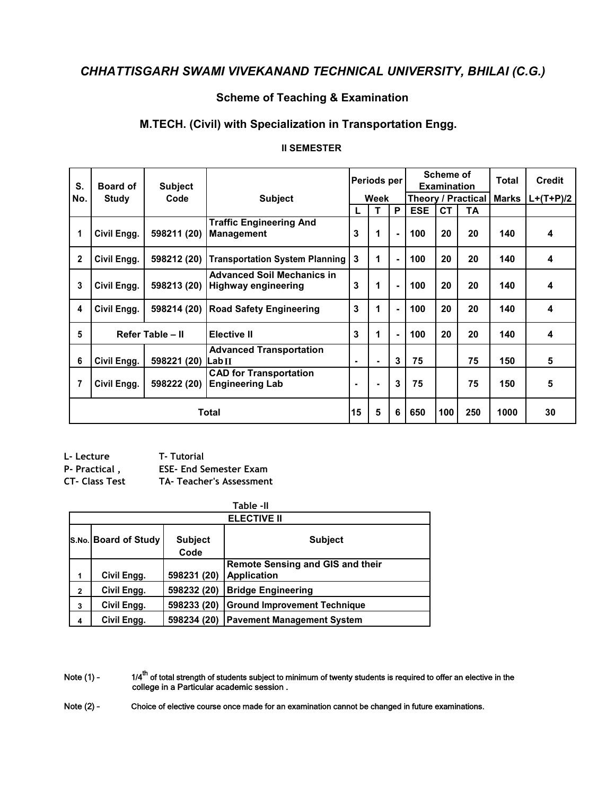## **Scheme of Teaching & Examination**

## M.TECH. (Civil) with Specialization in Transportation Engg.

#### **II SEMESTER**

| S.           | <b>Board of</b>            | <b>Subject</b>     |                                                                 |                | Periods per    |                |                    | <b>Scheme of</b><br><b>Examination</b> |     |       | Total            | <b>Credit</b> |
|--------------|----------------------------|--------------------|-----------------------------------------------------------------|----------------|----------------|----------------|--------------------|----------------------------------------|-----|-------|------------------|---------------|
| No.          | <b>Study</b>               | Code               | <b>Subject</b>                                                  |                | Week           |                | Theory / Practical |                                        |     | Marks | $L+(T+P)/2$      |               |
|              |                            |                    |                                                                 | L              | т              | P              | <b>ESE</b>         | <b>CT</b>                              | ТA  |       |                  |               |
| 1            | Civil Engg.                | 598211 (20)        | <b>Traffic Engineering And</b><br>3<br><b>Management</b>        |                | 1              | $\blacksquare$ | 100                | 20                                     | 20  | 140   | 4                |               |
| $\mathbf{2}$ | Civil Engg.                | 598212 (20)        | <b>Transportation System Planning</b>                           | 3              | 1              | $\blacksquare$ | 100                | 20                                     | 20  | 140   | 4                |               |
| 3            | Civil Engg.                | 598213 (20)        | <b>Advanced Soil Mechanics in</b><br><b>Highway engineering</b> |                | 1              | $\blacksquare$ | 100                | 20                                     | 20  | 140   | 4                |               |
| 4            | Civil Engg.<br>598214 (20) |                    | <b>Road Safety Engineering</b>                                  | 3              | 1              | $\blacksquare$ | 100                | 20                                     | 20  | 140   | $\boldsymbol{4}$ |               |
| 5            |                            | Refer Table - II   | <b>Elective II</b>                                              | 3              | 1              | $\blacksquare$ | 100                | 20                                     | 20  | 140   | 4                |               |
| 6            | Civil Engg.                | 598221 (20) Lab II | <b>Advanced Transportation</b>                                  | $\blacksquare$ | $\blacksquare$ | 3              | 75                 |                                        | 75  | 150   | 5                |               |
| 7            | Civil Engg.                | 598222 (20)        | <b>CAD for Transportation</b><br><b>Engineering Lab</b>         | ٠              | $\blacksquare$ | 3              | 75                 |                                        | 75  | 150   | 5                |               |
|              | <b>Total</b>               |                    |                                                                 |                | 5              | 6              | 650                | 100                                    | 250 | 1000  | 30               |               |

| L- Lecture     | <b>T- Tutorial</b>              |
|----------------|---------------------------------|
| P- Practical , | <b>ESE- End Semester Exam</b>   |
| CT- Class Test | <b>TA- Teacher's Assessment</b> |

|              | Table -II            |                        |                                                               |  |  |  |  |  |  |
|--------------|----------------------|------------------------|---------------------------------------------------------------|--|--|--|--|--|--|
|              | <b>ELECTIVE II</b>   |                        |                                                               |  |  |  |  |  |  |
|              | S.No. Board of Study | <b>Subject</b><br>Code | <b>Subject</b>                                                |  |  |  |  |  |  |
| 1            | Civil Engg.          | 598231 (20)            | <b>Remote Sensing and GIS and their</b><br><b>Application</b> |  |  |  |  |  |  |
| $\mathbf{2}$ | Civil Engg.          | 598232 (20)            | <b>Bridge Engineering</b>                                     |  |  |  |  |  |  |
| 3            | Civil Engg.          | 598233 (20)            | <b>Ground Improvement Technique</b>                           |  |  |  |  |  |  |
| 4            | Civil Engg.          | 598234 (20)            | <b>Pavement Management System</b>                             |  |  |  |  |  |  |

 $1/4^{\text{th}}$  of total strength of students subject to minimum of twenty students is required to offer an elective in the college in a Particular academic session . Note (1) -

Choice of elective course once made for an examination cannot be changed in future examinations. Note (2) -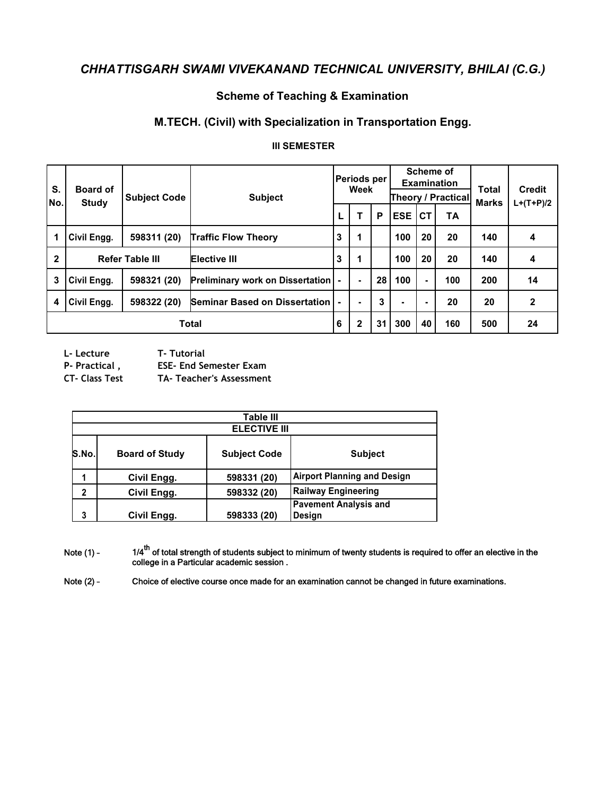### **Scheme of Teaching & Examination**

### M.TECH. (Civil) with Specialization in Transportation Engg.

#### **III SEMESTER**

| S.<br>No.    | <b>Board of</b><br><b>Study</b>   | <b>Subject Code</b> | <b>Subject</b>                             |   |              |    | Periods per<br>Week |                |     |     | Scheme of    | <b>Examination</b><br><b>Theory / Practical</b> | Total<br><b>Marks</b> | <b>Credit</b><br>$L+(T+P)/2$ |
|--------------|-----------------------------------|---------------------|--------------------------------------------|---|--------------|----|---------------------|----------------|-----|-----|--------------|-------------------------------------------------|-----------------------|------------------------------|
|              |                                   |                     |                                            |   |              | Р  | <b>ESE</b>          | <b>CT</b>      | ΤA  |     |              |                                                 |                       |                              |
| 1            | Civil Engg.                       | 598311 (20)         | 3<br><b>Traffic Flow Theory</b>            |   | 1            |    | 100                 | 20             | 20  | 140 | 4            |                                                 |                       |                              |
| $\mathbf{2}$ | <b>Refer Table III</b>            |                     | <b>Elective III</b>                        |   | 1            |    | 100                 | 20             | 20  | 140 | 4            |                                                 |                       |                              |
| 3            | Civil Engg.                       | 598321 (20)         | <b>Preliminary work on Dissertation  -</b> |   | ۰            | 28 | 100                 | $\blacksquare$ | 100 | 200 | 14           |                                                 |                       |                              |
| 4            | <b>Civil Engg.</b><br>598322 (20) |                     | Seminar Based on Dissertation              |   |              | 3  | ۰                   | ۰              | 20  | 20  | $\mathbf{2}$ |                                                 |                       |                              |
|              | Total                             |                     |                                            | 6 | $\mathbf{2}$ | 31 | 300                 | 40             | 160 | 500 | 24           |                                                 |                       |                              |

L-Lecture

**T-Tutorial** 

P- Practical,

**ESE- End Semester Exam** 

**CT- Class Test** TA- Teacher's Assessment

|             | <b>Table III</b>      |                     |                                               |  |  |  |  |  |
|-------------|-----------------------|---------------------|-----------------------------------------------|--|--|--|--|--|
|             | <b>ELECTIVE III</b>   |                     |                                               |  |  |  |  |  |
| S.No.       | <b>Board of Study</b> | <b>Subject Code</b> | <b>Subject</b>                                |  |  |  |  |  |
|             | Civil Engg.           | 598331 (20)         | <b>Airport Planning and Design</b>            |  |  |  |  |  |
| $\mathbf 2$ | Civil Engg.           | 598332 (20)         | <b>Railway Engineering</b>                    |  |  |  |  |  |
|             | Civil Engg.           | 598333 (20)         | <b>Pavement Analysis and</b><br><b>Design</b> |  |  |  |  |  |

1/4<sup>th</sup> of total strength of students subject to minimum of twenty students is required to offer an elective in the college in a Particular academic session . Note (1) -

Note  $(2)$  -Choice of elective course once made for an examination cannot be changed in future examinations.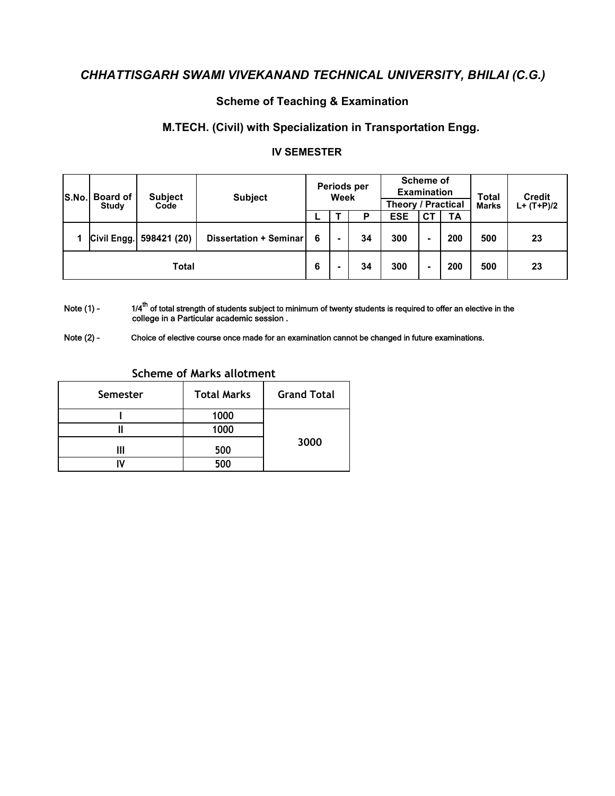## **Scheme of Teaching & Examination**

### M.TECH. (Civil) with Specialization in Transportation Engg.

#### **IV SEMESTER**

| S.No. | <b>Board of</b><br>Study | <b>Subject</b><br>Code  | <b>Subject</b>         |  | Periods per<br>Week |     |            | <b>Theory / Practical</b> | <b>Scheme of</b><br><b>Examination</b> |     | <b>Total</b><br><b>Marks</b> | <b>Credit</b><br>$L+ (T+P)/2$ |
|-------|--------------------------|-------------------------|------------------------|--|---------------------|-----|------------|---------------------------|----------------------------------------|-----|------------------------------|-------------------------------|
|       |                          |                         |                        |  |                     | Р   | <b>ESE</b> | <b>CT</b>                 | <b>TA</b>                              |     |                              |                               |
|       |                          | Civil Engg. 598421 (20) | Dissertation + Seminar |  |                     | 34  | 300        | ۰                         | 200                                    | 500 | 23                           |                               |
| Total |                          |                         | 6                      |  | 34                  | 300 | ۰          | 200                       | 500                                    | 23  |                              |                               |

 $1/4^{\text{th}}$  of total strength of students subject to minimum of twenty students is required to offer an elective in the college in a Particular academic session . Note (1) -

Choice of elective course once made for an examination cannot be changed in future examinations. Note  $(2)$  -

| Semester | <b>Total Marks</b> | <b>Grand Total</b> |
|----------|--------------------|--------------------|
|          | 1000               |                    |
|          | 1000               |                    |
|          | 500                | 3000               |
|          | 500                |                    |

#### **Scheme of Marks allotment**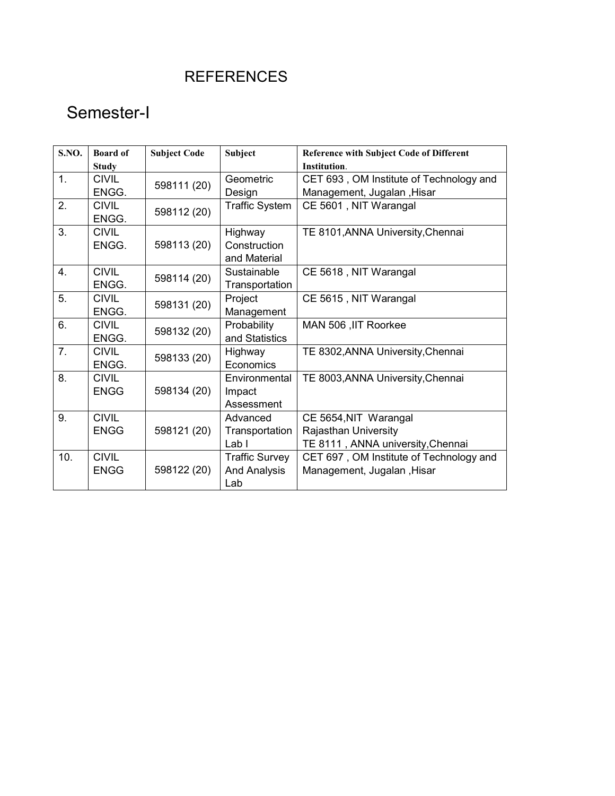# **REFERENCES**

# Semester-I

| <b>S.NO.</b>     | <b>Board of</b>             | <b>Subject Code</b> | <b>Subject</b>                          | <b>Reference with Subject Code of Different</b>           |
|------------------|-----------------------------|---------------------|-----------------------------------------|-----------------------------------------------------------|
|                  | <b>Study</b>                |                     |                                         | Institution.                                              |
| $\overline{1}$ . | <b>CIVIL</b>                | 598111 (20)         | Geometric                               | CET 693, OM Institute of Technology and                   |
|                  | ENGG.                       |                     | Design                                  | Management, Jugalan, Hisar                                |
| 2.               | <b>CIVIL</b><br>ENGG.       | 598112 (20)         | <b>Traffic System</b>                   | CE 5601, NIT Warangal                                     |
| 3.               | <b>CIVIL</b><br>ENGG.       | 598113 (20)         | Highway<br>Construction<br>and Material | TE 8101, ANNA University, Chennai                         |
| 4.               | <b>CIVIL</b><br>ENGG.       | 598114 (20)         | Sustainable<br>Transportation           | CE 5618, NIT Warangal                                     |
| 5.               | <b>CIVIL</b><br>ENGG.       | 598131 (20)         | Project<br>Management                   | CE 5615, NIT Warangal                                     |
| 6.               | <b>CIVIL</b><br>ENGG.       | 598132 (20)         | Probability<br>and Statistics           | MAN 506, IIT Roorkee                                      |
| 7.               | <b>CIVIL</b><br>ENGG.       | 598133 (20)         | Highway<br>Economics                    | TE 8302, ANNA University, Chennai                         |
| 8.               | <b>CIVIL</b><br><b>ENGG</b> | 598134 (20)         | Environmental<br>Impact<br>Assessment   | TE 8003, ANNA University, Chennai                         |
| 9.               | <b>CIVIL</b><br><b>ENGG</b> | 598121 (20)         | Advanced                                | CE 5654, NIT Warangal                                     |
|                  |                             |                     | Transportation<br>Lab <sub>1</sub>      | Rajasthan University<br>TE 8111, ANNA university, Chennai |
| 10.              | <b>CIVIL</b>                |                     | <b>Traffic Survey</b>                   | CET 697, OM Institute of Technology and                   |
|                  | <b>ENGG</b>                 | 598122 (20)         | <b>And Analysis</b><br>Lab              | Management, Jugalan, Hisar                                |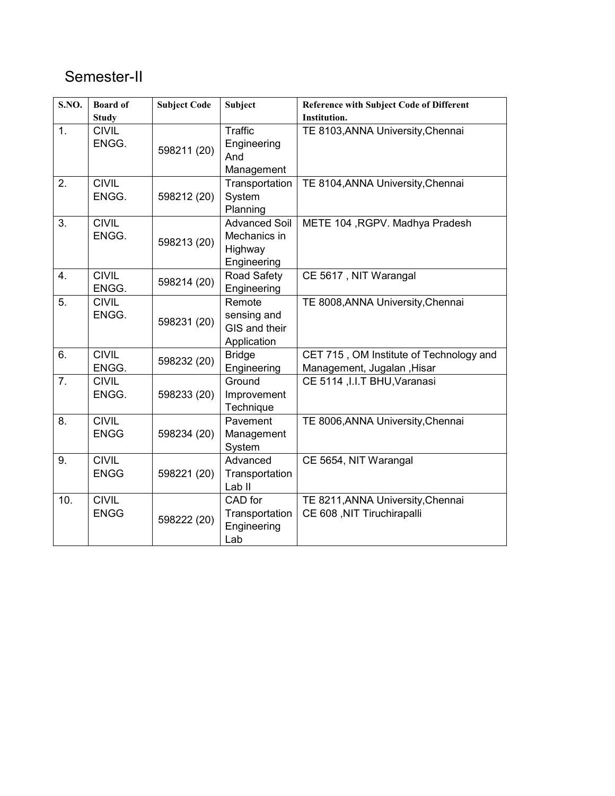# Semester-II

| S.NO.          | <b>Board of</b> | <b>Subject Code</b> | <b>Subject</b>       | <b>Reference with Subject Code of Different</b> |
|----------------|-----------------|---------------------|----------------------|-------------------------------------------------|
|                | <b>Study</b>    |                     |                      | <b>Institution.</b>                             |
| 1 <sub>1</sub> | <b>CIVIL</b>    |                     | <b>Traffic</b>       | TE 8103, ANNA University, Chennai               |
|                | ENGG.           | 598211 (20)         | Engineering          |                                                 |
|                |                 |                     | And                  |                                                 |
|                |                 |                     | Management           |                                                 |
| 2.             | <b>CIVIL</b>    |                     | Transportation       | TE 8104, ANNA University, Chennai               |
|                | ENGG.           | 598212 (20)         | System               |                                                 |
|                |                 |                     | Planning             |                                                 |
| 3.             | <b>CIVIL</b>    |                     | <b>Advanced Soil</b> | METE 104, RGPV. Madhya Pradesh                  |
|                | ENGG.           | 598213 (20)         | Mechanics in         |                                                 |
|                |                 |                     | Highway              |                                                 |
|                |                 |                     | Engineering          |                                                 |
| 4.             | <b>CIVIL</b>    | 598214 (20)         | Road Safety          | CE 5617, NIT Warangal                           |
|                | ENGG.           |                     | Engineering          |                                                 |
| 5.             | <b>CIVIL</b>    |                     | Remote               | TE 8008, ANNA University, Chennai               |
|                | ENGG.           | 598231 (20)         | sensing and          |                                                 |
|                |                 |                     | GIS and their        |                                                 |
|                |                 |                     | Application          |                                                 |
| 6.             | <b>CIVIL</b>    | 598232 (20)         | <b>Bridge</b>        | CET 715, OM Institute of Technology and         |
|                | ENGG.           |                     | Engineering          | Management, Jugalan, Hisar                      |
| 7 <sub>1</sub> | <b>CIVIL</b>    |                     | Ground               | CE 5114 , I.I.T BHU, Varanasi                   |
|                | ENGG.           | 598233 (20)         | Improvement          |                                                 |
|                |                 |                     | Technique            |                                                 |
| 8.             | <b>CIVIL</b>    |                     | Pavement             | TE 8006, ANNA University, Chennai               |
|                | <b>ENGG</b>     | 598234 (20)         | Management           |                                                 |
|                |                 |                     | System               |                                                 |
| 9.             | <b>CIVIL</b>    |                     | Advanced             | CE 5654, NIT Warangal                           |
|                | <b>ENGG</b>     | 598221 (20)         | Transportation       |                                                 |
|                |                 |                     | Lab <sub>II</sub>    |                                                 |
| 10.            | <b>CIVIL</b>    |                     | CAD for              | TE 8211, ANNA University, Chennai               |
|                | <b>ENGG</b>     | 598222 (20)         | Transportation       | CE 608, NIT Tiruchirapalli                      |
|                |                 |                     | Engineering          |                                                 |
|                |                 |                     | Lab                  |                                                 |